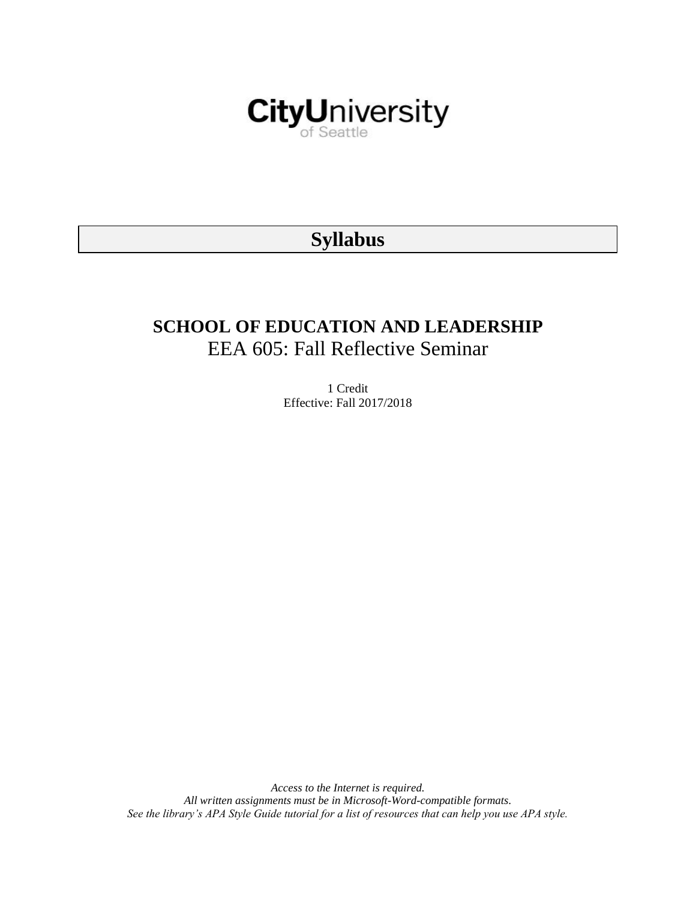

# **Syllabus**

# **SCHOOL OF EDUCATION AND LEADERSHIP** EEA 605: Fall Reflective Seminar

1 Credit Effective: Fall 2017/2018

*Access to the Internet is required. All written assignments must be in Microsoft-Word-compatible formats. See the library's APA Style Guide tutorial for a list of resources that can help you use APA style.*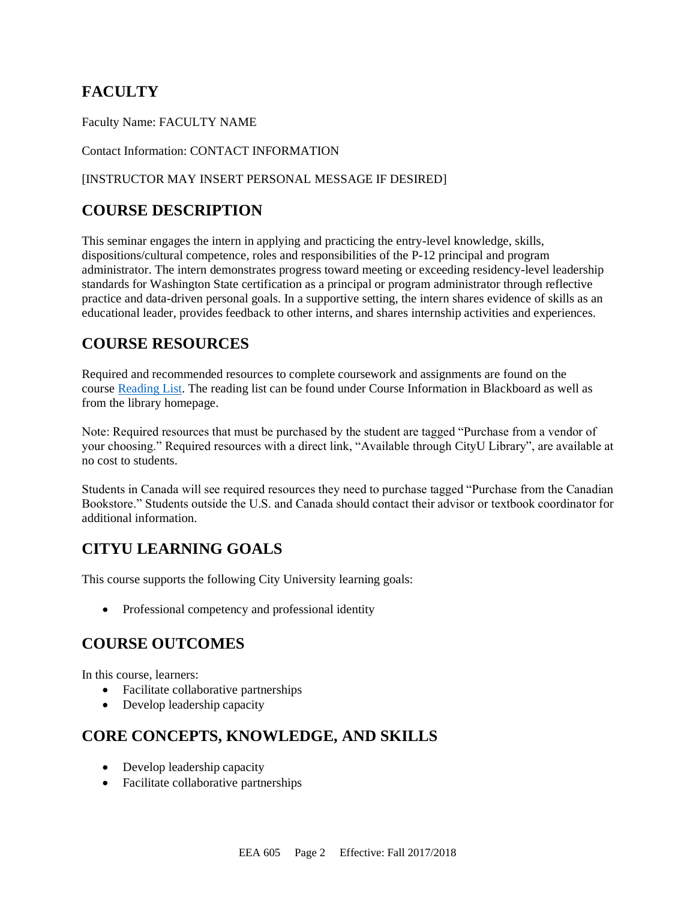# **FACULTY**

Faculty Name: FACULTY NAME

Contact Information: CONTACT INFORMATION

#### [INSTRUCTOR MAY INSERT PERSONAL MESSAGE IF DESIRED]

# **COURSE DESCRIPTION**

This seminar engages the intern in applying and practicing the entry-level knowledge, skills, dispositions/cultural competence, roles and responsibilities of the P-12 principal and program administrator. The intern demonstrates progress toward meeting or exceeding residency-level leadership standards for Washington State certification as a principal or program administrator through reflective practice and data-driven personal goals. In a supportive setting, the intern shares evidence of skills as an educational leader, provides feedback to other interns, and shares internship activities and experiences.

# **COURSE RESOURCES**

Required and recommended resources to complete coursework and assignments are found on the course [Reading List.](https://nam03.safelinks.protection.outlook.com/?url=https%3A%2F%2Fcityu.alma.exlibrisgroup.com%2Fleganto%2Flogin%3Fauth%3DSAML&data=04%7C01%7CMMara%40cityu.edu%7C70673ce0fe0144040eda08d87472e204%7Cb3fa96d9f5154662add763d854e39e63%7C1%7C0%7C637387384066198115%7CUnknown%7CTWFpbGZsb3d8eyJWIjoiMC4wLjAwMDAiLCJQIjoiV2luMzIiLCJBTiI6Ik1haWwiLCJXVCI6Mn0%3D%7C1000&sdata=JbwP%2Fm5Q%2BMgIUWa%2FXceos%2BoiLv0DX%2B%2FL%2BNGNMbX9P8E%3D&reserved=0) The reading list can be found under Course Information in Blackboard as well as from the library homepage.

Note: Required resources that must be purchased by the student are tagged "Purchase from a vendor of your choosing." Required resources with a direct link, "Available through CityU Library", are available at no cost to students.

Students in Canada will see required resources they need to purchase tagged "Purchase from the Canadian Bookstore." Students outside the U.S. and Canada should contact their advisor or textbook coordinator for additional information.

# **CITYU LEARNING GOALS**

This course supports the following City University learning goals:

• Professional competency and professional identity

# **COURSE OUTCOMES**

In this course, learners:

- Facilitate collaborative partnerships
- Develop leadership capacity

# **CORE CONCEPTS, KNOWLEDGE, AND SKILLS**

- Develop leadership capacity
- Facilitate collaborative partnerships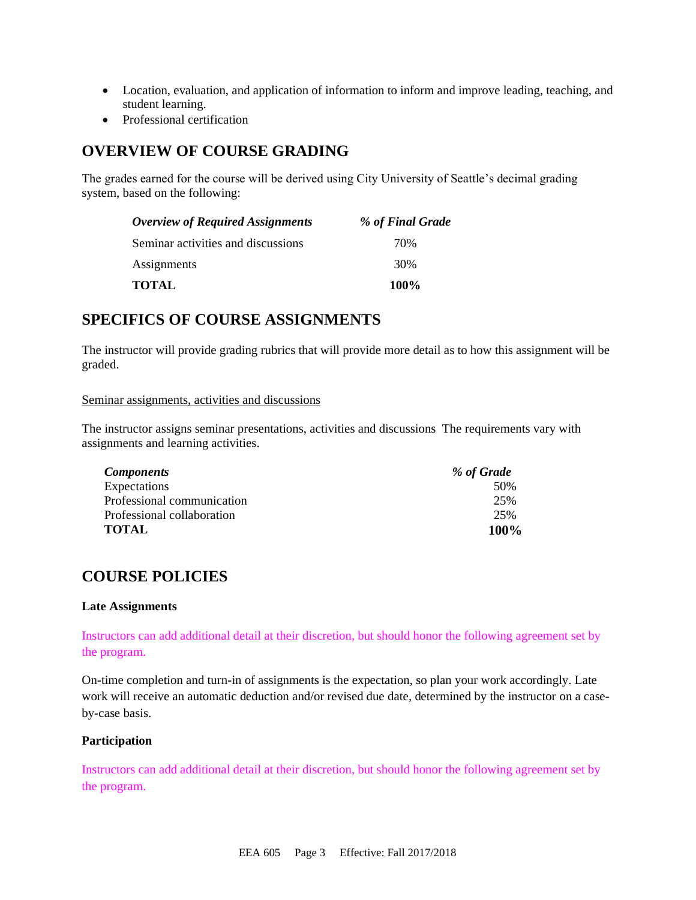- Location, evaluation, and application of information to inform and improve leading, teaching, and student learning.
- Professional certification

## **OVERVIEW OF COURSE GRADING**

The grades earned for the course will be derived using City University of Seattle's decimal grading system, based on the following:

| <b>Overview of Required Assignments</b> | % of Final Grade |
|-----------------------------------------|------------------|
| Seminar activities and discussions      | 70%              |
| Assignments                             | 30%              |
| <b>TOTAL</b>                            | $100\%$          |

### **SPECIFICS OF COURSE ASSIGNMENTS**

The instructor will provide grading rubrics that will provide more detail as to how this assignment will be graded.

#### Seminar assignments, activities and discussions

The instructor assigns seminar presentations, activities and discussions The requirements vary with assignments and learning activities.

| <b>Components</b>          | % of Grade |
|----------------------------|------------|
| Expectations               | 50%        |
| Professional communication | 25%        |
| Professional collaboration | 25%        |
| <b>TOTAL</b>               | 100%       |

# **COURSE POLICIES**

#### **Late Assignments**

Instructors can add additional detail at their discretion, but should honor the following agreement set by the program.

On-time completion and turn-in of assignments is the expectation, so plan your work accordingly. Late work will receive an automatic deduction and/or revised due date, determined by the instructor on a caseby-case basis.

#### **Participation**

Instructors can add additional detail at their discretion, but should honor the following agreement set by the program.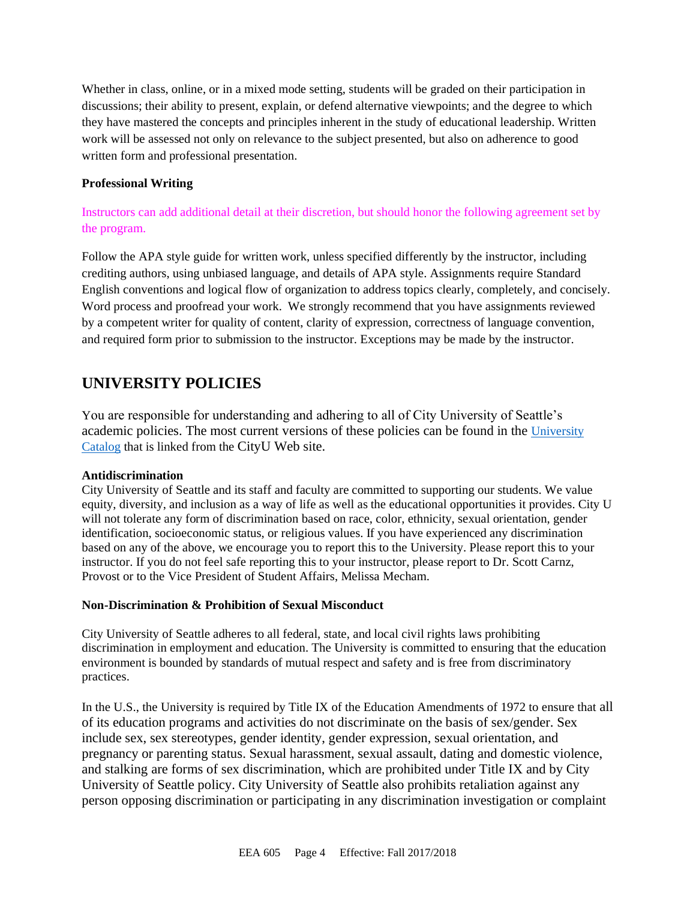Whether in class, online, or in a mixed mode setting, students will be graded on their participation in discussions; their ability to present, explain, or defend alternative viewpoints; and the degree to which they have mastered the concepts and principles inherent in the study of educational leadership. Written work will be assessed not only on relevance to the subject presented, but also on adherence to good written form and professional presentation.

#### **Professional Writing**

#### Instructors can add additional detail at their discretion, but should honor the following agreement set by the program.

Follow the APA style guide for written work, unless specified differently by the instructor, including crediting authors, using unbiased language, and details of APA style. Assignments require Standard English conventions and logical flow of organization to address topics clearly, completely, and concisely. Word process and proofread your work. We strongly recommend that you have assignments reviewed by a competent writer for quality of content, clarity of expression, correctness of language convention, and required form prior to submission to the instructor. Exceptions may be made by the instructor.

# **UNIVERSITY POLICIES**

You are responsible for understanding and adhering to all of City University of Seattle's academic policies. The most current versions of these policies can be found in the [University](https://www.cityu.edu/catalog/)  [Catalog](https://www.cityu.edu/catalog/) that is linked from the CityU Web site.

#### **Antidiscrimination**

City University of Seattle and its staff and faculty are committed to supporting our students. We value equity, diversity, and inclusion as a way of life as well as the educational opportunities it provides. City U will not tolerate any form of discrimination based on race, color, ethnicity, sexual orientation, gender identification, socioeconomic status, or religious values. If you have experienced any discrimination based on any of the above, we encourage you to report this to the University. Please report this to your instructor. If you do not feel safe reporting this to your instructor, please report to Dr. Scott Carnz, Provost or to the Vice President of Student Affairs, Melissa Mecham.

#### **Non-Discrimination & Prohibition of Sexual Misconduct**

City University of Seattle adheres to all federal, state, and local civil rights laws prohibiting discrimination in employment and education. The University is committed to ensuring that the education environment is bounded by standards of mutual respect and safety and is free from discriminatory practices.

In the U.S., the University is required by Title IX of the Education Amendments of 1972 to ensure that all of its education programs and activities do not discriminate on the basis of sex/gender. Sex include sex, sex stereotypes, gender identity, gender expression, sexual orientation, and pregnancy or parenting status. Sexual harassment, sexual assault, dating and domestic violence, and stalking are forms of sex discrimination, which are prohibited under Title IX and by City University of Seattle policy. City University of Seattle also prohibits retaliation against any person opposing discrimination or participating in any discrimination investigation or complaint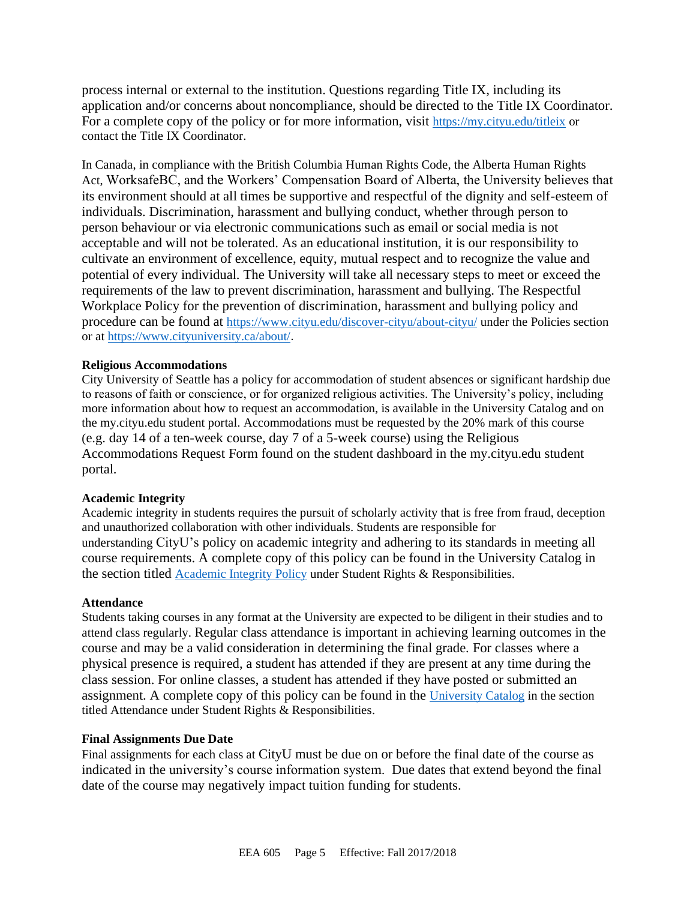process internal or external to the institution. Questions regarding Title IX, including its application and/or concerns about noncompliance, should be directed to the Title IX Coordinator. For a complete copy of the policy or for more information, visit <https://my.cityu.edu/titleix> or contact the Title IX Coordinator.

In Canada, in compliance with the British Columbia Human Rights Code, the Alberta Human Rights Act, WorksafeBC, and the Workers' Compensation Board of Alberta, the University believes that its environment should at all times be supportive and respectful of the dignity and self-esteem of individuals. Discrimination, harassment and bullying conduct, whether through person to person behaviour or via electronic communications such as email or social media is not acceptable and will not be tolerated. As an educational institution, it is our responsibility to cultivate an environment of excellence, equity, mutual respect and to recognize the value and potential of every individual. The University will take all necessary steps to meet or exceed the requirements of the law to prevent discrimination, harassment and bullying. The Respectful Workplace Policy for the prevention of discrimination, harassment and bullying policy and procedure can be found at <https://www.cityu.edu/discover-cityu/about-cityu/> under the Policies section or at <https://www.cityuniversity.ca/about/>.

#### **Religious Accommodations**

City University of Seattle has a policy for accommodation of student absences or significant hardship due to reasons of faith or conscience, or for organized religious activities. The University's policy, including more information about how to request an accommodation, is available in the University Catalog and on the my.cityu.edu student portal. Accommodations must be requested by the 20% mark of this course (e.g. day 14 of a ten-week course, day 7 of a 5-week course) using the Religious Accommodations Request Form found on the student dashboard in the my.cityu.edu student portal.

#### **Academic Integrity**

Academic integrity in students requires the pursuit of scholarly activity that is free from fraud, deception and unauthorized collaboration with other individuals. Students are responsible for understanding CityU's policy on academic integrity and adhering to its standards in meeting all course requirements. A complete copy of this policy can be found in the University Catalog in the section titled [Academic Integrity Policy](https://www.cityu.edu/catalog/;) under Student Rights & Responsibilities.

#### **Attendance**

Students taking courses in any format at the University are expected to be diligent in their studies and to attend class regularly. Regular class attendance is important in achieving learning outcomes in the course and may be a valid consideration in determining the final grade. For classes where a physical presence is required, a student has attended if they are present at any time during the class session. For online classes, a student has attended if they have posted or submitted an assignment. A complete copy of this policy can be found in the [University Catalog](https://www.cityu.edu/catalog/;) in the section titled Attendance under Student Rights & Responsibilities.

#### **Final Assignments Due Date**

Final assignments for each class at CityU must be due on or before the final date of the course as indicated in the university's course information system. Due dates that extend beyond the final date of the course may negatively impact tuition funding for students.